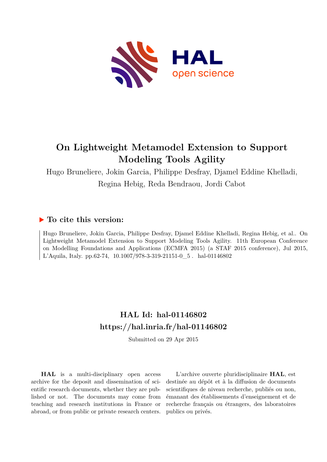

# **On Lightweight Metamodel Extension to Support Modeling Tools Agility**

Hugo Bruneliere, Jokin Garcia, Philippe Desfray, Djamel Eddine Khelladi, Regina Hebig, Reda Bendraou, Jordi Cabot

# **To cite this version:**

Hugo Bruneliere, Jokin Garcia, Philippe Desfray, Djamel Eddine Khelladi, Regina Hebig, et al.. On Lightweight Metamodel Extension to Support Modeling Tools Agility. 11th European Conference on Modelling Foundations and Applications (ECMFA 2015) (a STAF 2015 conference), Jul 2015, L'Aquila, Italy. pp.62-74, 10.1007/978-3-319-21151-0\_5. hal-01146802

# **HAL Id: hal-01146802 <https://hal.inria.fr/hal-01146802>**

Submitted on 29 Apr 2015

**HAL** is a multi-disciplinary open access archive for the deposit and dissemination of scientific research documents, whether they are published or not. The documents may come from teaching and research institutions in France or abroad, or from public or private research centers.

L'archive ouverte pluridisciplinaire **HAL**, est destinée au dépôt et à la diffusion de documents scientifiques de niveau recherche, publiés ou non, émanant des établissements d'enseignement et de recherche français ou étrangers, des laboratoires publics ou privés.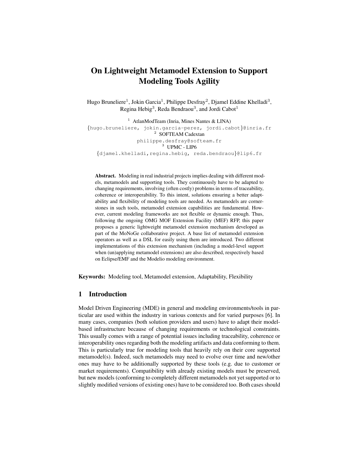# On Lightweight Metamodel Extension to Support Modeling Tools Agility

Hugo Bruneliere<sup>1</sup>, Jokin Garcia<sup>1</sup>, Philippe Desfray<sup>2</sup>, Djamel Eddine Khelladi<sup>3</sup>, Regina Hebig<sup>3</sup>, Reda Bendraou<sup>3</sup>, and Jordi Cabot<sup>1</sup>

<sup>1</sup> AtlanModTeam (Inria, Mines Nantes & LINA) {hugo.bruneliere, jokin.garcia-perez, jordi.cabot}@inria.fr <sup>2</sup> SOFTEAM Cadextan philippe.desfray@softeam.fr <sup>3</sup> UPMC - LIP6 {djamel.khelladi,regina.hebig, reda.bendraou}@lip6.fr

Abstract. Modeling in real industrial projects implies dealing with different models, metamodels and supporting tools. They continuously have to be adapted to changing requirements, involving (often costly) problems in terms of traceability, coherence or interoperability. To this intent, solutions ensuring a better adaptability and flexibility of modeling tools are needed. As metamodels are cornerstones in such tools, metamodel extension capabilities are fundamental. However, current modeling frameworks are not flexible or dynamic enough. Thus, following the ongoing OMG MOF Extension Facility (MEF) RFP, this paper proposes a generic lightweight metamodel extension mechanism developed as part of the MoNoGe collaborative project. A base list of metamodel extension operators as well as a DSL for easily using them are introduced. Two different implementations of this extension mechanism (including a model-level support when (un)applying metamodel extensions) are also described, respectively based on Eclipse/EMF and the Modelio modeling environment.

Keywords: Modeling tool, Metamodel extension, Adaptability, Flexibility

### 1 Introduction

Model Driven Engineering (MDE) in general and modeling environments/tools in particular are used within the industry in various contexts and for varied purposes [6]. In many cases, companies (both solution providers and users) have to adapt their modelbased infrastructure because of changing requirements or technological constraints. This usually comes with a range of potential issues including traceability, coherence or interoperability ones regarding both the modeling artifacts and data conforming to them. This is particularly true for modeling tools that heavily rely on their core supported metamodel(s). Indeed, such metamodels may need to evolve over time and new/other ones may have to be additionally supported by these tools (e.g. due to customer or market requirements). Compatibility with already existing models must be preserved, but new models (conforming to completely different metamodels not yet supported or to slightly modified versions of existing ones) have to be considered too. Both cases should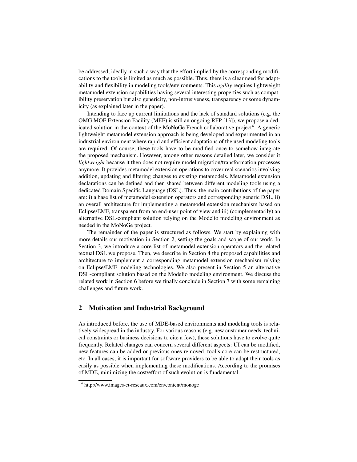be addressed, ideally in such a way that the effort implied by the corresponding modifications to the tools is limited as much as possible. Thus, there is a clear need for adaptability and flexibility in modeling tools/environments. This *agility* requires lightweight metamodel extension capabilities having several interesting properties such as compatibility preservation but also genericity, non-intrusiveness, transparency or some dynamicity (as explained later in the paper).

Intending to face up current limitations and the lack of standard solutions (e.g. the OMG MOF Extension Facility (MEF) is still an ongoing RFP [13]), we propose a dedicated solution in the context of the MoNoGe French collaborative project<sup>4</sup>. A generic lightweight metamodel extension approach is being developed and experimented in an industrial environment where rapid and efficient adaptations of the used modeling tools are required. Of course, these tools have to be modified once to somehow integrate the proposed mechanism. However, among other reasons detailed later, we consider it *lightweight* because it then does not require model migration/transformation processes anymore. It provides metamodel extension operations to cover real scenarios involving addition, updating and filtering changes to existing metamodels. Metamodel extension declarations can be defined and then shared between different modeling tools using a dedicated Domain Specific Language (DSL). Thus, the main contributions of the paper are: i) a base list of metamodel extension operators and corresponding generic DSL, ii) an overall architecture for implementing a metamodel extension mechanism based on Eclipse/EMF, transparent from an end-user point of view and iii) (complementarily) an alternative DSL-compliant solution relying on the Modelio modeling environment as needed in the MoNoGe project.

The remainder of the paper is structured as follows. We start by explaining with more details our motivation in Section 2, setting the goals and scope of our work. In Section 3, we introduce a core list of metamodel extension operators and the related textual DSL we propose. Then, we describe in Section 4 the proposed capabilities and architecture to implement a corresponding metamodel extension mechanism relying on Eclipse/EMF modeling technologies. We also present in Section 5 an alternative DSL-compliant solution based on the Modelio modeling environment. We discuss the related work in Section 6 before we finally conclude in Section 7 with some remaining challenges and future work.

### 2 Motivation and Industrial Background

As introduced before, the use of MDE-based environments and modeling tools is relatively widespread in the industry. For various reasons (e.g. new customer needs, technical constraints or business decisions to cite a few), these solutions have to evolve quite frequently. Related changes can concern several different aspects: UI can be modified, new features can be added or previous ones removed, tool's core can be restructured, etc. In all cases, it is important for software providers to be able to adapt their tools as easily as possible when implementing these modifications. According to the promises of MDE, minimizing the cost/effort of such evolution is fundamental.

<sup>4</sup> http://www.images-et-reseaux.com/en/content/monoge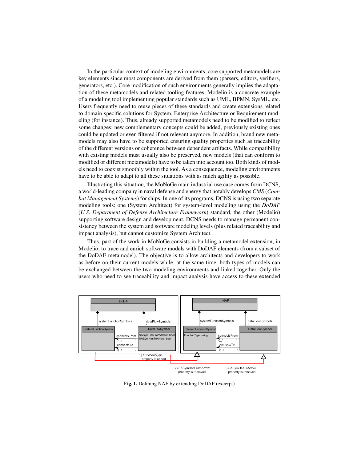In the particular context of modeling environments, core supported metamodels are key elements since most components are derived from them (parsers, editors, verifiers, generators, etc.). Core modification of such environments generally implies the adaptation of these metamodels and related tooling features. Modelio is a concrete example of a modeling tool implementing popular standards such as UML, BPMN, SysML, etc. Users frequently need to reuse pieces of these standards and create extensions related to domain-specific solutions for System, Enterprise Architecture or Requirement modeling (for instance). Thus, already supported metamodels need to be modified to reflect some changes: new complementary concepts could be added, previously existing ones could be updated or even filtered if not relevant anymore. In addition, brand new metamodels may also have to be supported ensuring quality properties such as traceability of the different versions or coherence between dependent artifacts. While compatibility with existing models must usually also be preserved, new models (that can conform to modified or different metamodels) have to be taken into account too. Both kinds of models need to coexist smoothly within the tool. As a consequence, modeling environments have to be able to adapt to all these situations with as much agility as possible.

Illustrating this situation, the MoNoGe main industrial use case comes from DCNS, a world-leading company in naval defense and energy that notably develops *CMS* (*Combat Management Systems*) for ships. In one of its programs, DCNS is using two separate modeling tools: one (System Architect) for system-level modeling using the *DoDAF* (*U.S. Department of Defense Architecture Framework*) standard, the other (Modelio) supporting software design and development. DCNS needs to manage permanent consistency between the system and software modeling levels (plus related traceability and impact analysis), but cannot customize System Architect.

Thus, part of the work in MoNoGe consists in building a metamodel extension, in Modelio, to trace and enrich software models with DoDAF elements (from a subset of the DoDAF metamodel). The objective is to allow architects and developers to work as before on their current models while, at the same time, both types of models can be exchanged between the two modeling environments and linked together. Only the users who need to see traceability and impact analysis have access to these extended



Fig. 1. Defining NAF by extending DoDAF (excerpt)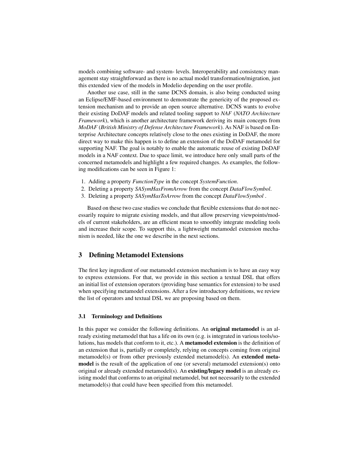models combining software- and system- levels. Interoperability and consistency management stay straightforward as there is no actual model transformation/migration, just this extended view of the models in Modelio depending on the user profile.

Another use case, still in the same DCNS domain, is also being conducted using an Eclipse/EMF-based environment to demonstrate the genericity of the proposed extension mechanism and to provide an open source alternative. DCNS wants to evolve their existing DoDAF models and related tooling support to *NAF* (*NATO Architecture Framework*), which is another architecture framework deriving its main concepts from *MoDAF* (*British Ministry of Defense Architecture Framework*). As NAF is based on Enterprise Architecture concepts relatively close to the ones existing in DoDAF, the more direct way to make this happen is to define an extension of the DoDAF metamodel for supporting NAF. The goal is notably to enable the automatic reuse of existing DoDAF models in a NAF context. Due to space limit, we introduce here only small parts of the concerned metamodels and highlight a few required changes. As examples, the following modifications can be seen in Figure 1:

- 1. Adding a property *FunctionType* in the concept *SystemFunction*.
- 2. Deleting a property *SASymHasFromArrow* from the concept *DataFlowSymbol*.
- 3. Deleting a property *SASymHasToArrow* from the concept *DataFlowSymbol* .

Based on these two case studies we conclude that flexible extensions that do not necessarily require to migrate existing models, and that allow preserving viewpoints/models of current stakeholders, are an efficient mean to smoothly integrate modeling tools and increase their scope. To support this, a lightweight metamodel extension mechanism is needed, like the one we describe in the next sections.

#### 3 Defining Metamodel Extensions

The first key ingredient of our metamodel extension mechanism is to have an easy way to express extensions. For that, we provide in this section a textual DSL that offers an initial list of extension operators (providing base semantics for extension) to be used when specifying metamodel extensions. After a few introductory definitions, we review the list of operators and textual DSL we are proposing based on them.

#### 3.1 Terminology and Definitions

In this paper we consider the following definitions. An **original metamodel** is an already existing metamodel that has a life on its own (e.g. is integrated in various tools/solutions, has models that conform to it, etc.). A metamodel extension is the definition of an extension that is, partially or completely, relying on concepts coming from original metamodel(s) or from other previously extended metamodel(s). An **extended meta**model is the result of the application of one (or several) metamodel extension(s) onto original or already extended metamodel(s). An existing/legacy model is an already existing model that conforms to an original metamodel, but not necessarily to the extended metamodel(s) that could have been specified from this metamodel.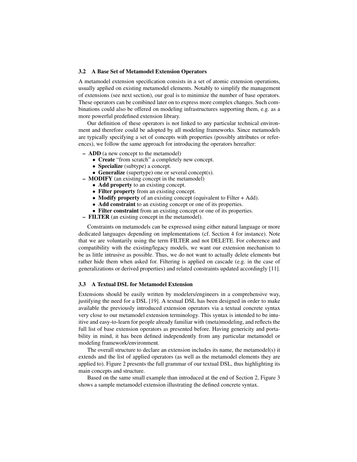#### 3.2 A Base Set of Metamodel Extension Operators

A metamodel extension specification consists in a set of atomic extension operations, usually applied on existing metamodel elements. Notably to simplify the management of extensions (see next section), our goal is to minimize the number of base operators. These operators can be combined later on to express more complex changes. Such combinations could also be offered on modeling infrastructures supporting them, e.g. as a more powerful predefined extension library.

Our definition of these operators is not linked to any particular technical environment and therefore could be adopted by all modeling frameworks. Since metamodels are typically specifying a set of concepts with properties (possibly attributes or references), we follow the same approach for introducing the operators hereafter:

- ADD (a new concept to the metamodel)
	- Create "from scratch" a completely new concept.
	- Specialize (subtype) a concept.
	- Generalize (supertype) one or several concept(s).
- MODIFY (an existing concept in the metamodel)
	- Add property to an existing concept.
	- Filter property from an existing concept.
	- Modify property of an existing concept (equivalent to Filter + Add).
	- Add constraint to an existing concept or one of its properties.
	- Filter constraint from an existing concept or one of its properties.
- FILTER (an existing concept in the metamodel).

Constraints on metamodels can be expressed using either natural language or more dedicated languages depending on implementations (cf. Section 4 for instance). Note that we are voluntarily using the term FILTER and not DELETE. For coherence and compatibility with the existing/legacy models, we want our extension mechanism to be as little intrusive as possible. Thus, we do not want to actually delete elements but rather hide them when asked for. Filtering is applied on cascade (e.g. in the case of generalizations or derived properties) and related constraints updated accordingly [11].

#### 3.3 A Textual DSL for Metamodel Extension

Extensions should be easily written by modelers/engineers in a comprehensive way, justifying the need for a DSL [19]. A textual DSL has been designed in order to make available the previously introduced extension operators via a textual concrete syntax very close to our metamodel extension terminology. This syntax is intended to be intuitive and easy-to-learn for people already familiar with (meta)modeling, and reflects the full list of base extension operators as presented before. Having genericity and portability in mind, it has been defined independently from any particular metamodel or modeling framework/environment.

The overall structure to declare an extension includes its name, the metamodel(s) it extends and the list of applied operators (as well as the metamodel elements they are applied to). Figure 2 presents the full grammar of our textual DSL, thus highlighting its main concepts and structure.

Based on the same small example than introduced at the end of Section 2, Figure 3 shows a sample metamodel extension illustrating the defined concrete syntax.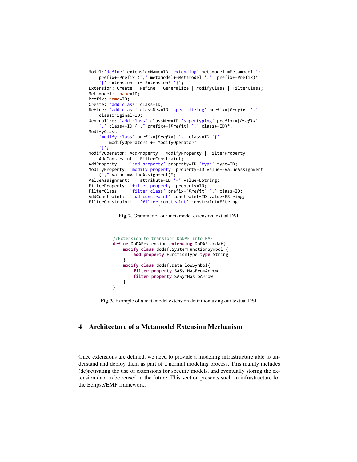```
5 Model:'define' extensionName=ID 'extending' metamodel+=Metamodel ':'
      prefix+=Prefix ("," metamodel+=Metamodel ':' prefix+=Prefix)*
      '\{' extensions += Extension* '\}';
 8 Extension: Create | Refine | Generalize | ModifyClass | FilterClass;
 Metamodel: name=ID;
 Prefix: name=ID;
 Create: 'add class' class=ID;
 12 Refine: 'add class' classNew=ID 'specializing' prefix=[Prefix] '.'
      classOriginal=ID;
 14 Generalize: 'add class' classNew=ID 'supertyping' prefix+=[Prefix] 
      15 '.' class+=ID ("," prefix+=[Prefix] '.' class+=ID)*;
 ModifyClass:
      17 'modify class' prefix=[Prefix] '.' class=ID '{'
         modifyOperators += ModifyOperator*
      19 '}';
 ModifyOperator: AddProperty | ModifyProperty | FilterProperty |
      AddConstraint | FilterConstraint;
 AddProperty: 'add property' property=ID 'type' type=ID;
23 ModifyProperty: 'modify property' property=ID value+=ValueAssignment
("," value+=ValueAssignment)*;
  ValueAssignment: attribute=ID '=' value=EString;
26 FilterProperty: 'filter property' property=ID;
27 FilterClass: 'filter class' prefix=[Prefix] '.' class=ID;
 28 AddConstraint: 'add constraint' constraint=ID value=EString;
 FilterConstraint: 'filter constraint' constraint=EString;
```
Fig. 2. Grammar of our metamodel extension textual DSL

```
//Extension to transform DoDAF into NAF
define DoDAFextension extending DoDAF:dodaf{
   modify class dodaf.SystemFunctionSymbol {
       add property FunctionType type String
   }
   modify class dodaf.DataFlowSymbol{
       filter property SASymHasFromArrow
       filter property SASymHasToArrow
   }
}
```
Fig. 3. Example of a metamodel extension definition using our textual DSL

## 4 Architecture of a Metamodel Extension Mechanism

Once extensions are defined, we need to provide a modeling infrastructure able to understand and deploy them as part of a normal modeling process. This mainly includes (de)activating the use of extensions for specific models, and eventually storing the extension data to be reused in the future. This section presents such an infrastructure for the Eclipse/EMF framework.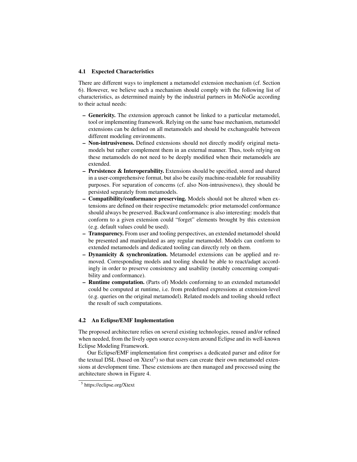#### 4.1 Expected Characteristics

There are different ways to implement a metamodel extension mechanism (cf. Section 6). However, we believe such a mechanism should comply with the following list of characteristics, as determined mainly by the industrial partners in MoNoGe according to their actual needs:

- Genericity. The extension approach cannot be linked to a particular metamodel, tool or implementing framework. Relying on the same base mechanism, metamodel extensions can be defined on all metamodels and should be exchangeable between different modeling environments.
- Non-intrusiveness. Defined extensions should not directly modify original metamodels but rather complement them in an external manner. Thus, tools relying on these metamodels do not need to be deeply modified when their metamodels are extended.
- Persistence & Interoperability. Extensions should be specified, stored and shared in a user-comprehensive format, but also be easily machine-readable for reusability purposes. For separation of concerns (cf. also Non-intrusiveness), they should be persisted separately from metamodels.
- Compatibility/conformance preserving. Models should not be altered when extensions are defined on their respective metamodels: prior metamodel conformance should always be preserved. Backward conformance is also interesting: models that conform to a given extension could "forget" elements brought by this extension (e.g. default values could be used).
- Transparency. From user and tooling perspectives, an extended metamodel should be presented and manipulated as any regular metamodel. Models can conform to extended metamodels and dedicated tooling can directly rely on them.
- Dynamicity & synchronization. Metamodel extensions can be applied and removed. Corresponding models and tooling should be able to react/adapt accordingly in order to preserve consistency and usability (notably concerning compatibility and conformance).
- Runtime computation. (Parts of) Models conforming to an extended metamodel could be computed at runtime, i.e. from predefined expressions at extension-level (e.g. queries on the original metamodel). Related models and tooling should reflect the result of such computations.

#### 4.2 An Eclipse/EMF Implementation

The proposed architecture relies on several existing technologies, reused and/or refined when needed, from the lively open source ecosystem around Eclipse and its well-known Eclipse Modeling Framework.

Our Eclipse/EMF implementation first comprises a dedicated parser and editor for the textual DSL (based on  $X$ text<sup>5</sup>) so that users can create their own metamodel extensions at development time. These extensions are then managed and processed using the architecture shown in Figure 4.

<sup>5</sup> https://eclipse.org/Xtext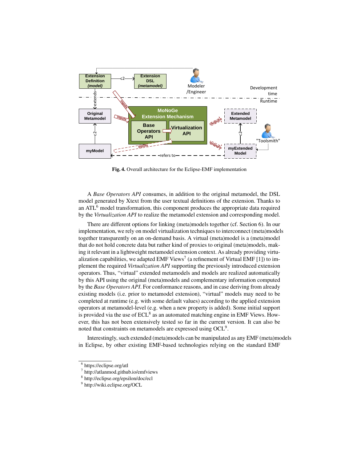

Fig. 4. Overall architecture for the Eclipse-EMF implementation

A *Base Operators API* consumes, in addition to the original metamodel, the DSL model generated by Xtext from the user textual definitions of the extension. Thanks to an ATL<sup>6</sup> model transformation, this component produces the appropriate data required by the *Virtualization API* to realize the metamodel extension and corresponding model.

There are different options for linking (meta)models together (cf. Section 6). In our implementation, we rely on model virtualization techniques to interconnect (meta)models together transparently on an on-demand basis. A virtual (meta)model is a (meta)model that do not hold concrete data but rather kind of proxies to original (meta)models, making it relevant in a lightweight metamodel extension context. As already providing virtualization capabilities, we adapted EMF Views<sup>7</sup> (a refinement of Virtual EMF [1]) to implement the required *Virtualization API* supporting the previously introduced extension operators. Thus, "virtual" extended metamodels and models are realized automatically by this API using the original (meta)models and complementary information computed by the *Base Operators API*. For conformance reasons, and in case deriving from already existing models (i.e. prior to metamodel extension), "virtual" models may need to be completed at runtime (e.g. with some default values) according to the applied extension operators at metamodel-level (e.g. when a new property is added). Some initial support is provided via the use of  $ECL<sup>8</sup>$  as an automated matching engine in EMF Views. However, this has not been extensively tested so far in the current version. It can also be noted that constraints on metamodels are expressed using  $OCL<sup>9</sup>$ .

Interestingly, such extended (meta)models can be manipulated as any EMF (meta)models in Eclipse, by other existing EMF-based technologies relying on the standard EMF

<sup>6</sup> https://eclipse.org/atl

<sup>7</sup> http://atlanmod.github.io/emfviews

<sup>8</sup> http://eclipse.org/epsilon/doc/ecl

<sup>9</sup> http://wiki.eclipse.org/OCL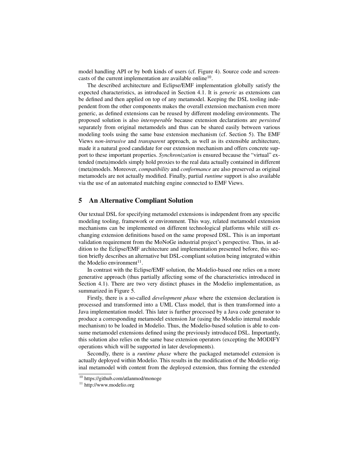model handling API or by both kinds of users (cf. Figure 4). Source code and screencasts of the current implementation are available online<sup>10</sup>.

The described architecture and Eclipse/EMF implementation globally satisfy the expected characteristics, as introduced in Section 4.1. It is *generic* as extensions can be defined and then applied on top of any metamodel. Keeping the DSL tooling independent from the other components makes the overall extension mechanism even more generic, as defined extensions can be reused by different modeling environments. The proposed solution is also *interoperable* because extension declarations are *persisted* separately from original metamodels and thus can be shared easily between various modeling tools using the same base extension mechanism (cf. Section 5). The EMF Views *non-intrusive* and *transparent* approach, as well as its extensible architecture, made it a natural good candidate for our extension mechanism and offers concrete support to these important properties. *Synchronization* is ensured because the "virtual" extended (meta)models simply hold proxies to the real data actually contained in different (meta)models. Moreover, *compatibility* and *conformance* are also preserved as original metamodels are not actually modified. Finally, partial *runtime* support is also available via the use of an automated matching engine connected to EMF Views.

#### 5 An Alternative Compliant Solution

Our textual DSL for specifying metamodel extensions is independent from any specific modeling tooling, framework or environment. This way, related metamodel extension mechanisms can be implemented on different technological platforms while still exchanging extension definitions based on the same proposed DSL. This is an important validation requirement from the MoNoGe industrial project's perspective. Thus, in addition to the Eclipse/EMF architecture and implementation presented before, this section briefly describes an alternative but DSL-compliant solution being integrated within the Modelio environment $11$ .

In contrast with the Eclipse/EMF solution, the Modelio-based one relies on a more generative approach (thus partially affecting some of the characteristics introduced in Section 4.1). There are two very distinct phases in the Modelio implementation, as summarized in Figure 5.

Firstly, there is a so-called *development phase* where the extension declaration is processed and transformed into a UML Class model, that is then transformed into a Java implementation model. This later is further processed by a Java code generator to produce a corresponding metamodel extension Jar (using the Modelio internal module mechanism) to be loaded in Modelio. Thus, the Modelio-based solution is able to consume metamodel extensions defined using the previously introduced DSL. Importantly, this solution also relies on the same base extension operators (excepting the MODIFY operations which will be supported in later developments).

Secondly, there is a *runtime phase* where the packaged metamodel extension is actually deployed within Modelio. This results in the modification of the Modelio original metamodel with content from the deployed extension, thus forming the extended

<sup>10</sup> https://github.com/atlanmod/monoge

<sup>&</sup>lt;sup>11</sup> http://www.modelio.org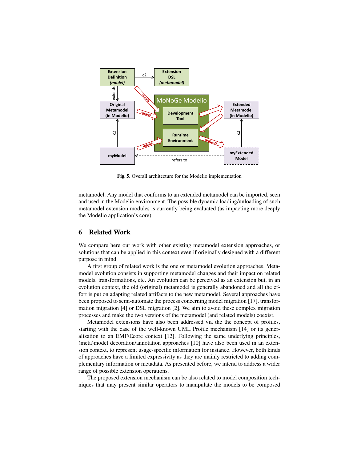

Fig. 5. Overall architecture for the Modelio implementation

metamodel. Any model that conforms to an extended metamodel can be imported, seen and used in the Modelio environment. The possible dynamic loading/unloading of such metamodel extension modules is currently being evaluated (as impacting more deeply the Modelio application's core).

#### 6 Related Work

We compare here our work with other existing metamodel extension approaches, or solutions that can be applied in this context even if originally designed with a different purpose in mind.

A first group of related work is the one of metamodel evolution approaches. Metamodel evolution consists in supporting metamodel changes and their impact on related models, transformations, etc. An evolution can be perceived as an extension but, in an evolution context, the old (original) metamodel is generally abandoned and all the effort is put on adapting related artifacts to the new metamodel. Several approaches have been proposed to semi-automate the process concerning model migration [17], transformation migration [4] or DSL migration [2]. We aim to avoid these complex migration processes and make the two versions of the metamodel (and related models) coexist.

Metamodel extensions have also been addressed via the the concept of profiles, starting with the case of the well-known UML Profile mechanism [14] or its generalization to an EMF/Ecore context [12]. Following the same underlying principles, (meta)model decoration/annotation approaches [10] have also been used in an extension context, to represent usage-specific information for instance. However, both kinds of approaches have a limited expressivity as they are mainly restricted to adding complementary information or metadata. As presented before, we intend to address a wider range of possible extension operations.

The proposed extension mechanism can be also related to model composition techniques that may present similar operators to manipulate the models to be composed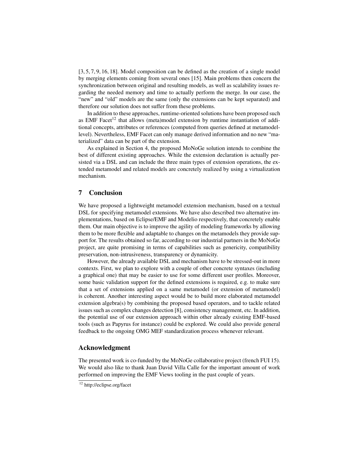[3, 5, 7, 9, 16, 18]. Model composition can be defined as the creation of a single model by merging elements coming from several ones [15]. Main problems then concern the synchronization between original and resulting models, as well as scalability issues regarding the needed memory and time to actually perform the merge. In our case, the "new" and "old" models are the same (only the extensions can be kept separated) and therefore our solution does not suffer from these problems.

In addition to these approaches, runtime-oriented solutions have been proposed such as EMF Facet<sup>12</sup> that allows (meta)model extension by runtime instantiation of additional concepts, attributes or references (computed from queries defined at metamodellevel). Nevertheless, EMF Facet can only manage derived information and no new "materialized" data can be part of the extension.

As explained in Section 4, the proposed MoNoGe solution intends to combine the best of different existing approaches. While the extension declaration is actually persisted via a DSL and can include the three main types of extension operations, the extended metamodel and related models are concretely realized by using a virtualization mechanism.

## 7 Conclusion

We have proposed a lightweight metamodel extension mechanism, based on a textual DSL for specifying metamodel extensions. We have also described two alternative implementations, based on Eclipse/EMF and Modelio respectively, that concretely enable them. Our main objective is to improve the agility of modeling frameworks by allowing them to be more flexible and adaptable to changes on the metamodels they provide support for. The results obtained so far, according to our industrial partners in the MoNoGe project, are quite promising in terms of capabilities such as genericity, compatibility preservation, non-intrusiveness, transparency or dynamicity.

However, the already available DSL and mechanism have to be stressed-out in more contexts. First, we plan to explore with a couple of other concrete syntaxes (including a graphical one) that may be easier to use for some different user profiles. Moreover, some basic validation support for the defined extensions is required, e.g. to make sure that a set of extensions applied on a same metamodel (or extension of metamodel) is coherent. Another interesting aspect would be to build more elaborated metamodel extension algebra(s) by combining the proposed based operators, and to tackle related issues such as complex changes detection [8], consistency management, etc. In addition, the potential use of our extension approach within other already existing EMF-based tools (such as Papyrus for instance) could be explored. We could also provide general feedback to the ongoing OMG MEF standardization process whenever relevant.

#### Acknowledgment

The presented work is co-funded by the MoNoGe collaborative project (french FUI 15). We would also like to thank Juan David Villa Calle for the important amount of work performed on improving the EMF Views tooling in the past couple of years.

<sup>12</sup> http://eclipse.org/facet